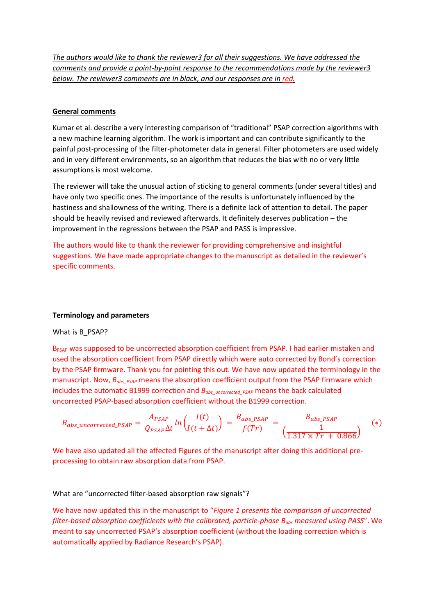*The authors would like to thank the reviewer3 for all their suggestions. We have addressed the comments and provide a point-by-point response to the recommendations made by the reviewer3 below. The reviewer3 comments are in black, and our responses are in red.*

## **General comments**

Kumar et al. describe a very interesting comparison of "traditional" PSAP correction algorithms with a new machine learning algorithm. The work is important and can contribute significantly to the painful post-processing of the filter-photometer data in general. Filter photometers are used widely and in very different environments, so an algorithm that reduces the bias with no or very little assumptions is most welcome.

The reviewer will take the unusual action of sticking to general comments (under several titles) and have only two specific ones. The importance of the results is unfortunately influenced by the hastiness and shallowness of the writing. There is a definite lack of attention to detail. The paper should be heavily revised and reviewed afterwards. It definitely deserves publication – the improvement in the regressions between the PSAP and PASS is impressive.

The authors would like to thank the reviewer for providing comprehensive and insightful suggestions. We have made appropriate changes to the manuscript as detailed in the reviewer's specific comments.

# **Terminology and parameters**

What is B\_PSAP?

B<sub>PSAP</sub> was supposed to be uncorrected absorption coefficient from PSAP. I had earlier mistaken and used the absorption coefficient from PSAP directly which were auto corrected by Bond's correction by the PSAP firmware. Thank you for pointing this out. We have now updated the terminology in the manuscript. Now,  $B_{obs-PSAP}$  means the absorption coefficient output from the PSAP firmware which includes the automatic B1999 correction and  $B_{abs\_uncorrected-PSAP}$  means the back calculated uncorrected PSAP-based absorption coefficient without the B1999 correction.

$$
B_{abs\_uncorrected\_PSAP} = \frac{A_{PSAP}}{Q_{PSAP}\Delta t} ln\left(\frac{I(t)}{I(t+\Delta t)}\right) = \frac{B_{abs\_PSAP}}{f(Tr)} = \frac{B_{abs\_PSAP}}{\left(\frac{1}{1.317 \times Tr + 0.866}\right)} \quad (*)
$$

We have also updated all the affected Figures of the manuscript after doing this additional preprocessing to obtain raw absorption data from PSAP.

# What are "uncorrected filter-based absorption raw signals"?

We have now updated this in the manuscript to "*Figure 1 presents the comparison of uncorrected filter-based absorption coefficients with the calibrated, particle-phase Babs measured using PASS*". We meant to say uncorrected PSAP's absorption coefficient (without the loading correction which is automatically applied by Radiance Research's PSAP).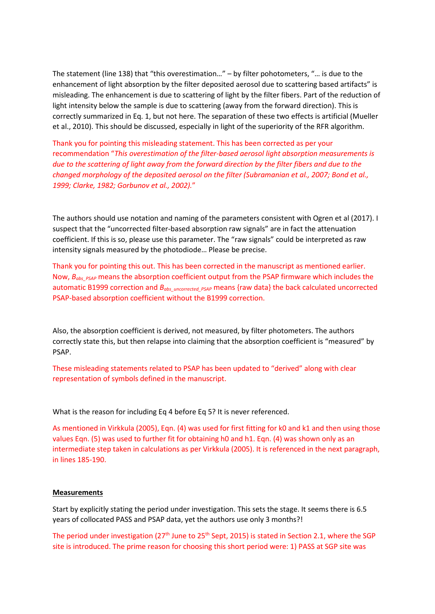The statement (line 138) that "this overestimation…" – by filter pohotometers, "… is due to the enhancement of light absorption by the filter deposited aerosol due to scattering based artifacts" is misleading. The enhancement is due to scattering of light by the filter fibers. Part of the reduction of light intensity below the sample is due to scattering (away from the forward direction). This is correctly summarized in Eq. 1, but not here. The separation of these two effects is artificial (Mueller et al., 2010). This should be discussed, especially in light of the superiority of the RFR algorithm.

Thank you for pointing this misleading statement. This has been corrected as per your recommendation "*This overestimation of the filter-based aerosol light absorption measurements is due to the scattering of light away from the forward direction by the filter fibers and due to the changed morphology of the deposited aerosol on the filter (Subramanian et al., 2007; Bond et al., 1999; Clarke, 1982; Gorbunov et al., 2002).*"

The authors should use notation and naming of the parameters consistent with Ogren et al (2017). I suspect that the "uncorrected filter-based absorption raw signals" are in fact the attenuation coefficient. If this is so, please use this parameter. The "raw signals" could be interpreted as raw intensity signals measured by the photodiode… Please be precise.

Thank you for pointing this out. This has been corrected in the manuscript as mentioned earlier. Now,  $B_{obs}$  <sub>*PSAP*</sub> means the absorption coefficient output from the PSAP firmware which includes the automatic B1999 correction and *B<sub>abs</sub> uncorrected PSAP* means {raw data} the back calculated uncorrected PSAP-based absorption coefficient without the B1999 correction.

Also, the absorption coefficient is derived, not measured, by filter photometers. The authors correctly state this, but then relapse into claiming that the absorption coefficient is "measured" by PSAP.

These misleading statements related to PSAP has been updated to "derived" along with clear representation of symbols defined in the manuscript.

What is the reason for including Eq 4 before Eq 5? It is never referenced.

As mentioned in Virkkula (2005), Eqn. (4) was used for first fitting for k0 and k1 and then using those values Eqn. (5) was used to further fit for obtaining h0 and h1. Eqn. (4) was shown only as an intermediate step taken in calculations as per Virkkula (2005). It is referenced in the next paragraph, in lines 185-190.

# **Measurements**

Start by explicitly stating the period under investigation. This sets the stage. It seems there is 6.5 years of collocated PASS and PSAP data, yet the authors use only 3 months?!

The period under investigation (27<sup>th</sup> June to 25<sup>th</sup> Sept, 2015) is stated in Section 2.1, where the SGP site is introduced. The prime reason for choosing this short period were: 1) PASS at SGP site was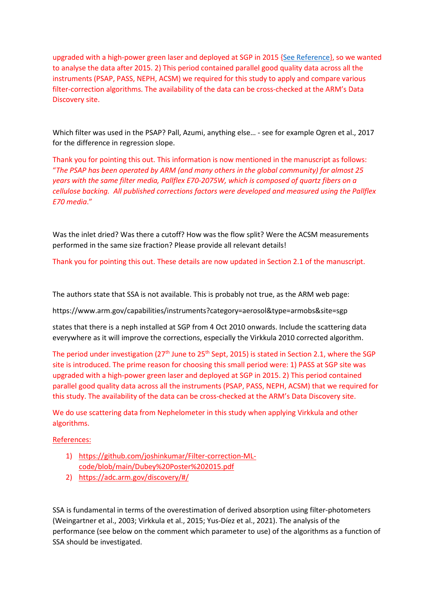upgraded with a high-power green laser and deployed at SGP in 2015 [{See Reference}](https://github.com/joshinkumar/Filter-correction-ML-code/blob/main/Dubey%20Poster%202015.pdf), so we wanted to analyse the data after 2015. 2) This period contained parallel good quality data across all the instruments (PSAP, PASS, NEPH, ACSM) we required for this study to apply and compare various filter-correction algorithms. The availability of the data can be cross-checked at the ARM's Data Discovery site.

Which filter was used in the PSAP? Pall, Azumi, anything else… - see for example Ogren et al., 2017 for the difference in regression slope.

Thank you for pointing this out. This information is now mentioned in the manuscript as follows: "*The PSAP has been operated by ARM (and many others in the global community) for almost 25 years with the same filter media, Pallflex E70-2075W, which is composed of quartz fibers on a cellulose backing. All published corrections factors were developed and measured using the Pallflex E70 media*."

Was the inlet dried? Was there a cutoff? How was the flow split? Were the ACSM measurements performed in the same size fraction? Please provide all relevant details!

Thank you for pointing this out. These details are now updated in Section 2.1 of the manuscript.

The authors state that SSA is not available. This is probably not true, as the ARM web page:

https://www.arm.gov/capabilities/instruments?category=aerosol&type=armobs&site=sgp

states that there is a neph installed at SGP from 4 Oct 2010 onwards. Include the scattering data everywhere as it will improve the corrections, especially the Virkkula 2010 corrected algorithm.

The period under investigation (27<sup>th</sup> June to 25<sup>th</sup> Sept, 2015) is stated in Section 2.1, where the SGP site is introduced. The prime reason for choosing this small period were: 1) PASS at SGP site was upgraded with a high-power green laser and deployed at SGP in 2015. 2) This period contained parallel good quality data across all the instruments (PSAP, PASS, NEPH, ACSM) that we required for this study. The availability of the data can be cross-checked at the ARM's Data Discovery site.

We do use scattering data from Nephelometer in this study when applying Virkkula and other algorithms.

References:

- 1) [https://github.com/joshinkumar/Filter-correction-ML](https://github.com/joshinkumar/Filter-correction-ML-code/blob/main/Dubey%20Poster%202015.pdf)[code/blob/main/Dubey%20Poster%202015.pdf](https://github.com/joshinkumar/Filter-correction-ML-code/blob/main/Dubey%20Poster%202015.pdf)
- 2) <https://adc.arm.gov/discovery/#/>

SSA is fundamental in terms of the overestimation of derived absorption using filter-photometers (Weingartner et al., 2003; Virkkula et al., 2015; Yus-Díez et al., 2021). The analysis of the performance (see below on the comment which parameter to use) of the algorithms as a function of SSA should be investigated.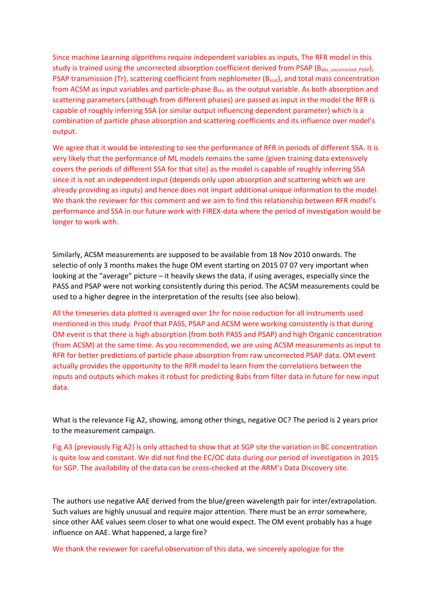Since machine Learning algorithms require independent variables as inputs, The RFR model in this study is trained using the uncorrected absorption coefficient derived from PSAP (B<sub>abs uncorrected PSAP</sub>), PSAP transmission (Tr), scattering coefficient from nephlometer (B<sub>scat</sub>), and total mass concentration from ACSM as input variables and particle-phase  $B_{abs}$  as the output variable. As both absorption and scattering parameters (although from different phases) are passed as input in the model the RFR is capable of roughly inferring SSA (or similar output influencing dependent parameter) which is a combination of particle phase absorption and scattering coefficients and its influence over model's output.

We agree that it would be interesting to see the performance of RFR in periods of different SSA. It is very likely that the performance of ML models remains the same {given training data extensively covers the periods of different SSA for that site} as the model is capable of roughly inferring SSA since it is not an independent input (depends only upon absorption and scattering which we are already providing as inputs) and hence does not impart additional unique information to the model. We thank the reviewer for this comment and we aim to find this relationship between RFR model's performance and SSA in our future work with FIREX-data where the period of investigation would be longer to work with.

Similarly, ACSM measurements are supposed to be available from 18 Nov 2010 onwards. The selectio of only 3 months makes the huge OM event starting on 2015 07 07 very important when looking at the "average" picture – it heavily skews the data, if using averages, especially since the PASS and PSAP were not working consistently during this period. The ACSM measurements could be used to a higher degree in the interpretation of the results (see also below).

All the timeseries data plotted is averaged over 1hr for noise reduction for all instruments used mentioned in this study. Proof that PASS, PSAP and ACSM were working consistently is that during OM event is that there is high absorption (from both PASS and PSAP) and high Organic concentration (from ACSM) at the same time. As you recommended, we are using ACSM measurements as input to RFR for better predictions of particle phase absorption from raw uncorrected PSAP data. OM event actually provides the opportunity to the RFR model to learn from the correlations between the inputs and outputs which makes it robust for predicting Babs from filter data in future for new input data.

What is the relevance Fig A2, showing, among other things, negative OC? The period is 2 years prior to the measurement campaign.

Fig A3 {previously Fig A2} is only attached to show that at SGP site the variation in BC concentration is quite low and constant. We did not find the EC/OC data during our period of investigation in 2015 for SGP. The availability of the data can be cross-checked at the ARM's Data Discovery site.

The authors use negative AAE derived from the blue/green wavelength pair for inter/extrapolation. Such values are highly unusual and require major attention. There must be an error somewhere, since other AAE values seem closer to what one would expect. The OM event probably has a huge influence on AAE. What happened, a large fire?

We thank the reviewer for careful observation of this data, we sincerely apologize for the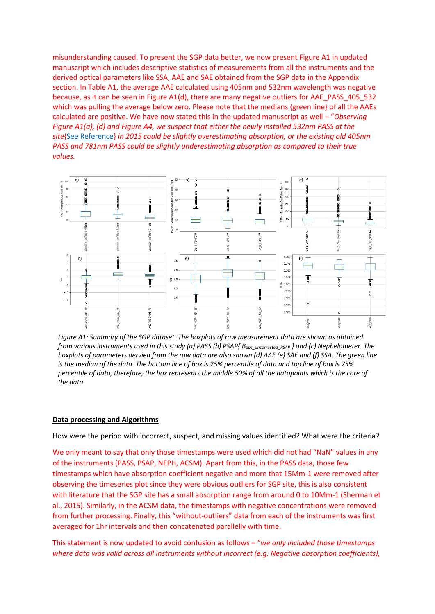misunderstanding caused. To present the SGP data better, we now present Figure A1 in updated manuscript which includes descriptive statistics of measurements from all the instruments and the derived optical parameters like SSA, AAE and SAE obtained from the SGP data in the Appendix section. In Table A1, the average AAE calculated using 405nm and 532nm wavelength was negative because, as it can be seen in Figure A1(d), there are many negative outliers for AAE\_PASS\_405\_532 which was pulling the average below zero. Please note that the medians {green line} of all the AAEs calculated are positive. We have now stated this in the updated manuscript as well – "*Observing Figure A1(a), (d) and Figure A4, we suspect that either the newly installed 532nm PASS at the site*[{See Reference}](https://github.com/joshinkumar/Filter-correction-ML-code/blob/main/Dubey%20Poster%202015.pdf) *in 2015 could be slightly overestimating absorption, or the existing old 405nm PASS and 781nm PASS could be slightly underestimating absorption as compared to their true values.*



*Figure A1: Summary of the SGP dataset. The boxplots of raw measurement data are shown as obtained from various instruments used in this study (a) PASS (b) PSAP{ Babs\_uncorrected\_PSAP } and (c) Nephelometer. The boxplots of parameters dervied from the raw data are also shown (d) AAE (e) SAE and (f) SSA. The green line is the median of the data. The bottom line of box is 25% percentile of data and top line of box is 75% percentile of data, therefore, the box represents the middle 50% of all the datapoints which is the core of the data.*

#### **Data processing and Algorithms**

How were the period with incorrect, suspect, and missing values identified? What were the criteria?

We only meant to say that only those timestamps were used which did not had "NaN" values in any of the instruments (PASS, PSAP, NEPH, ACSM). Apart from this, in the PASS data, those few timestamps which have absorption coefficient negative and more that 15Mm-1 were removed after observing the timeseries plot since they were obvious outliers for SGP site, this is also consistent with literature that the SGP site has a small absorption range from around 0 to 10Mm-1 (Sherman et al., 2015). Similarly, in the ACSM data, the timestamps with negative concentrations were removed from further processing. Finally, this "without-outliers" data from each of the instruments was first averaged for 1hr intervals and then concatenated parallelly with time.

This statement is now updated to avoid confusion as follows – "*we only included those timestamps where data was valid across all instruments without incorrect (e.g. Negative absorption coefficients),*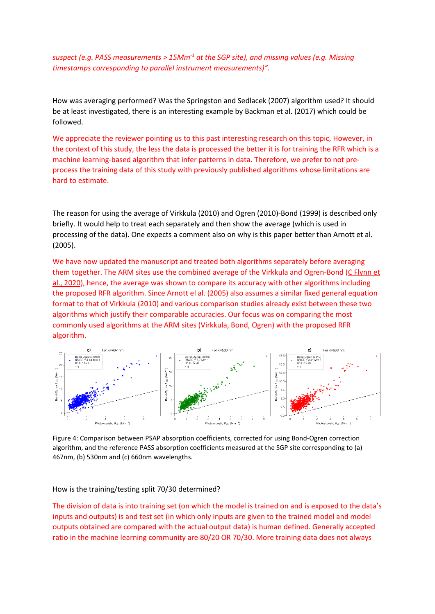*suspect (e.g. PASS measurements > 15Mm-1 at the SGP site), and missing values (e.g. Missing timestamps corresponding to parallel instrument measurements)".*

How was averaging performed? Was the Springston and Sedlacek (2007) algorithm used? It should be at least investigated, there is an interesting example by Backman et al. (2017) which could be followed.

We appreciate the reviewer pointing us to this past interesting research on this topic, However, in the context of this study, the less the data is processed the better it is for training the RFR which is a machine learning-based algorithm that infer patterns in data. Therefore, we prefer to not preprocess the training data of this study with previously published algorithms whose limitations are hard to estimate.

The reason for using the average of Virkkula (2010) and Ogren (2010)-Bond (1999) is described only briefly. It would help to treat each separately and then show the average (which is used in processing of the data). One expects a comment also on why is this paper better than Arnott et al. (2005).

We have now updated the manuscript and treated both algorithms separately before averaging them together. The ARM sites use the combined average of the Virkkula and Ogren-Bond (C Flynn et [al., 2020\)](https://www.arm.gov/publications/tech_reports/doe-sc-arm-tr-211.pdf), hence, the average was shown to compare its accuracy with other algorithms including the proposed RFR algorithm. Since Arnott el al. (2005) also assumes a similar fixed general equation format to that of Virkkula (2010) and various comparison studies already exist between these two algorithms which justify their comparable accuracies. Our focus was on comparing the most commonly used algorithms at the ARM sites (Virkkula, Bond, Ogren) with the proposed RFR algorithm.



Figure 4: Comparison between PSAP absorption coefficients, corrected for using Bond-Ogren correction algorithm, and the reference PASS absorption coefficients measured at the SGP site corresponding to (a) 467nm, (b) 530nm and (c) 660nm wavelengths.

How is the training/testing split 70/30 determined?

The division of data is into training set (on which the model is trained on and is exposed to the data's inputs and outputs) is and test set (in which only inputs are given to the trained model and model outputs obtained are compared with the actual output data) is human defined. Generally accepted ratio in the machine learning community are 80/20 OR 70/30. More training data does not always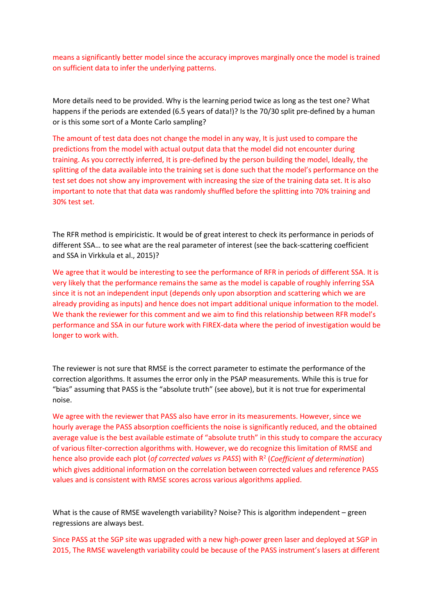means a significantly better model since the accuracy improves marginally once the model is trained on sufficient data to infer the underlying patterns.

More details need to be provided. Why is the learning period twice as long as the test one? What happens if the periods are extended (6.5 years of data!)? Is the 70/30 split pre-defined by a human or is this some sort of a Monte Carlo sampling?

The amount of test data does not change the model in any way, It is just used to compare the predictions from the model with actual output data that the model did not encounter during training. As you correctly inferred, It is pre-defined by the person building the model, Ideally, the splitting of the data available into the training set is done such that the model's performance on the test set does not show any improvement with increasing the size of the training data set. It is also important to note that that data was randomly shuffled before the splitting into 70% training and 30% test set.

The RFR method is empiricistic. It would be of great interest to check its performance in periods of different SSA… to see what are the real parameter of interest (see the back-scattering coefficient and SSA in Virkkula et al., 2015)?

We agree that it would be interesting to see the performance of RFR in periods of different SSA. It is very likely that the performance remains the same as the model is capable of roughly inferring SSA since it is not an independent input (depends only upon absorption and scattering which we are already providing as inputs) and hence does not impart additional unique information to the model. We thank the reviewer for this comment and we aim to find this relationship between RFR model's performance and SSA in our future work with FIREX-data where the period of investigation would be longer to work with.

The reviewer is not sure that RMSE is the correct parameter to estimate the performance of the correction algorithms. It assumes the error only in the PSAP measurements. While this is true for "bias" assuming that PASS is the "absolute truth" (see above), but it is not true for experimental noise.

We agree with the reviewer that PASS also have error in its measurements. However, since we hourly average the PASS absorption coefficients the noise is significantly reduced, and the obtained average value is the best available estimate of "absolute truth" in this study to compare the accuracy of various filter-correction algorithms with. However, we do recognize this limitation of RMSE and hence also provide each plot (*of corrected values vs PASS*) with R2 (*Coefficient of determination*) which gives additional information on the correlation between corrected values and reference PASS values and is consistent with RMSE scores across various algorithms applied.

What is the cause of RMSE wavelength variability? Noise? This is algorithm independent – green regressions are always best.

Since PASS at the SGP site was upgraded with a new high-power green laser and deployed at SGP in 2015, The RMSE wavelength variability could be because of the PASS instrument's lasers at different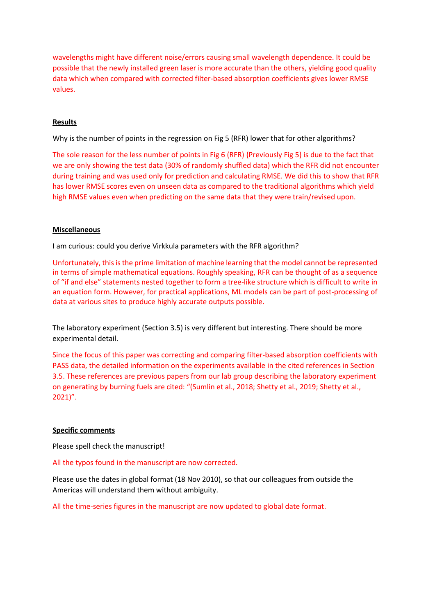wavelengths might have different noise/errors causing small wavelength dependence. It could be possible that the newly installed green laser is more accurate than the others, yielding good quality data which when compared with corrected filter-based absorption coefficients gives lower RMSE values.

# **Results**

Why is the number of points in the regression on Fig 5 (RFR) lower that for other algorithms?

The sole reason for the less number of points in Fig 6 (RFR) {Previously Fig 5} is due to the fact that we are only showing the test data (30% of randomly shuffled data) which the RFR did not encounter during training and was used only for prediction and calculating RMSE. We did this to show that RFR has lower RMSE scores even on unseen data as compared to the traditional algorithms which yield high RMSE values even when predicting on the same data that they were train/revised upon.

# **Miscellaneous**

I am curious: could you derive Virkkula parameters with the RFR algorithm?

Unfortunately, this is the prime limitation of machine learning that the model cannot be represented in terms of simple mathematical equations. Roughly speaking, RFR can be thought of as a sequence of "if and else" statements nested together to form a tree-like structure which is difficult to write in an equation form. However, for practical applications, ML models can be part of post-processing of data at various sites to produce highly accurate outputs possible.

The laboratory experiment (Section 3.5) is very different but interesting. There should be more experimental detail.

Since the focus of this paper was correcting and comparing filter-based absorption coefficients with PASS data, the detailed information on the experiments available in the cited references in Section 3.5. These references are previous papers from our lab group describing the laboratory experiment on generating by burning fuels are cited: "(Sumlin et al., 2018; Shetty et al., 2019; Shetty et al., 2021)".

#### **Specific comments**

Please spell check the manuscript!

All the typos found in the manuscript are now corrected.

Please use the dates in global format (18 Nov 2010), so that our colleagues from outside the Americas will understand them without ambiguity.

All the time-series figures in the manuscript are now updated to global date format.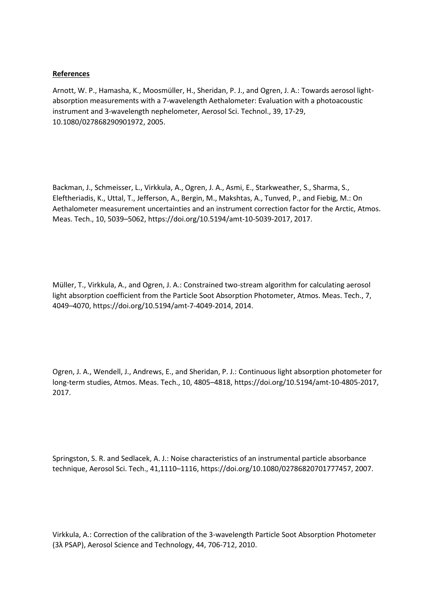# **References**

Arnott, W. P., Hamasha, K., Moosmüller, H., Sheridan, P. J., and Ogren, J. A.: Towards aerosol lightabsorption measurements with a 7-wavelength Aethalometer: Evaluation with a photoacoustic instrument and 3-wavelength nephelometer, Aerosol Sci. Technol., 39, 17-29, 10.1080/027868290901972, 2005.

Backman, J., Schmeisser, L., Virkkula, A., Ogren, J. A., Asmi, E., Starkweather, S., Sharma, S., Eleftheriadis, K., Uttal, T., Jefferson, A., Bergin, M., Makshtas, A., Tunved, P., and Fiebig, M.: On Aethalometer measurement uncertainties and an instrument correction factor for the Arctic, Atmos. Meas. Tech., 10, 5039–5062, https://doi.org/10.5194/amt-10-5039-2017, 2017.

Müller, T., Virkkula, A., and Ogren, J. A.: Constrained two-stream algorithm for calculating aerosol light absorption coefficient from the Particle Soot Absorption Photometer, Atmos. Meas. Tech., 7, 4049–4070, https://doi.org/10.5194/amt-7-4049-2014, 2014.

Ogren, J. A., Wendell, J., Andrews, E., and Sheridan, P. J.: Continuous light absorption photometer for long-term studies, Atmos. Meas. Tech., 10, 4805–4818, https://doi.org/10.5194/amt-10-4805-2017, 2017.

Springston, S. R. and Sedlacek, A. J.: Noise characteristics of an instrumental particle absorbance technique, Aerosol Sci. Tech., 41,1110–1116, https://doi.org/10.1080/02786820701777457, 2007.

Virkkula, A.: Correction of the calibration of the 3-wavelength Particle Soot Absorption Photometer (3λ PSAP), Aerosol Science and Technology, 44, 706-712, 2010.